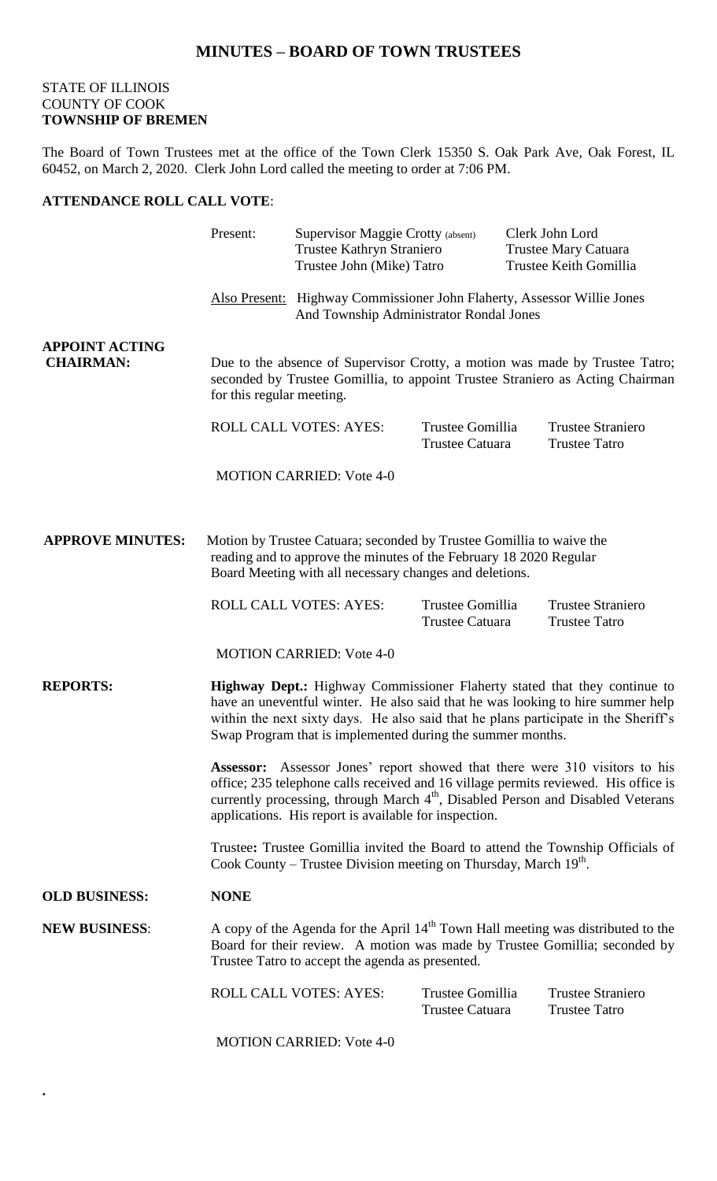## STATE OF ILLINOIS COUNTY OF COOK **TOWNSHIP OF BREMEN**

**.** 

The Board of Town Trustees met at the office of the Town Clerk 15350 S. Oak Park Ave, Oak Forest, IL 60452, on March 2, 2020. Clerk John Lord called the meeting to order at 7:06 PM.

## **ATTENDANCE ROLL CALL VOTE**:

|                                           | Present:                                                                                                                                                                                                                                                                                                                                                                                                                                                                                                                                                                                                                                                                                                                                                                                                     | Supervisor Maggie Crotty (absent)<br>Trustee Kathryn Straniero<br>Trustee John (Mike) Tatro |                                                                                                                                                                  | Clerk John Lord<br>Trustee Mary Catuara<br>Trustee Keith Gomillia |                                                  |  |  |
|-------------------------------------------|--------------------------------------------------------------------------------------------------------------------------------------------------------------------------------------------------------------------------------------------------------------------------------------------------------------------------------------------------------------------------------------------------------------------------------------------------------------------------------------------------------------------------------------------------------------------------------------------------------------------------------------------------------------------------------------------------------------------------------------------------------------------------------------------------------------|---------------------------------------------------------------------------------------------|------------------------------------------------------------------------------------------------------------------------------------------------------------------|-------------------------------------------------------------------|--------------------------------------------------|--|--|
|                                           |                                                                                                                                                                                                                                                                                                                                                                                                                                                                                                                                                                                                                                                                                                                                                                                                              |                                                                                             | <b>Also Present:</b> Highway Commissioner John Flaherty, Assessor Willie Jones<br>And Township Administrator Rondal Jones                                        |                                                                   |                                                  |  |  |
| <b>APPOINT ACTING</b><br><b>CHAIRMAN:</b> | for this regular meeting.                                                                                                                                                                                                                                                                                                                                                                                                                                                                                                                                                                                                                                                                                                                                                                                    |                                                                                             | Due to the absence of Supervisor Crotty, a motion was made by Trustee Tatro;<br>seconded by Trustee Gomillia, to appoint Trustee Straniero as Acting Chairman    |                                                                   |                                                  |  |  |
|                                           |                                                                                                                                                                                                                                                                                                                                                                                                                                                                                                                                                                                                                                                                                                                                                                                                              | <b>ROLL CALL VOTES: AYES:</b>                                                               | Trustee Gomillia<br>Trustee Catuara                                                                                                                              |                                                                   | <b>Trustee Straniero</b><br><b>Trustee Tatro</b> |  |  |
|                                           |                                                                                                                                                                                                                                                                                                                                                                                                                                                                                                                                                                                                                                                                                                                                                                                                              | <b>MOTION CARRIED: Vote 4-0</b>                                                             |                                                                                                                                                                  |                                                                   |                                                  |  |  |
| <b>APPROVE MINUTES:</b>                   | Motion by Trustee Catuara; seconded by Trustee Gomillia to waive the<br>reading and to approve the minutes of the February 18 2020 Regular<br>Board Meeting with all necessary changes and deletions.                                                                                                                                                                                                                                                                                                                                                                                                                                                                                                                                                                                                        |                                                                                             |                                                                                                                                                                  |                                                                   |                                                  |  |  |
|                                           |                                                                                                                                                                                                                                                                                                                                                                                                                                                                                                                                                                                                                                                                                                                                                                                                              | ROLL CALL VOTES: AYES:                                                                      | Trustee Gomillia<br><b>Trustee Catuara</b>                                                                                                                       |                                                                   | <b>Trustee Straniero</b><br><b>Trustee Tatro</b> |  |  |
|                                           |                                                                                                                                                                                                                                                                                                                                                                                                                                                                                                                                                                                                                                                                                                                                                                                                              | <b>MOTION CARRIED: Vote 4-0</b>                                                             |                                                                                                                                                                  |                                                                   |                                                  |  |  |
| <b>REPORTS:</b>                           | Highway Dept.: Highway Commissioner Flaherty stated that they continue to<br>have an uneventful winter. He also said that he was looking to hire summer help<br>within the next sixty days. He also said that he plans participate in the Sheriff's<br>Swap Program that is implemented during the summer months.<br><b>Assessor:</b> Assessor Jones' report showed that there were 310 visitors to his<br>office; 235 telephone calls received and 16 village permits reviewed. His office is<br>currently processing, through March 4 <sup>th</sup> , Disabled Person and Disabled Veterans<br>applications. His report is available for inspection.<br>Trustee: Trustee Gomillia invited the Board to attend the Township Officials of<br>Cook County – Trustee Division meeting on Thursday, March 19th. |                                                                                             |                                                                                                                                                                  |                                                                   |                                                  |  |  |
|                                           |                                                                                                                                                                                                                                                                                                                                                                                                                                                                                                                                                                                                                                                                                                                                                                                                              |                                                                                             |                                                                                                                                                                  |                                                                   |                                                  |  |  |
|                                           |                                                                                                                                                                                                                                                                                                                                                                                                                                                                                                                                                                                                                                                                                                                                                                                                              |                                                                                             |                                                                                                                                                                  |                                                                   |                                                  |  |  |
| <b>OLD BUSINESS:</b>                      | <b>NONE</b>                                                                                                                                                                                                                                                                                                                                                                                                                                                                                                                                                                                                                                                                                                                                                                                                  |                                                                                             |                                                                                                                                                                  |                                                                   |                                                  |  |  |
| <b>NEW BUSINESS:</b>                      | Trustee Tatro to accept the agenda as presented.                                                                                                                                                                                                                                                                                                                                                                                                                                                                                                                                                                                                                                                                                                                                                             |                                                                                             | A copy of the Agenda for the April $14th$ Town Hall meeting was distributed to the<br>Board for their review. A motion was made by Trustee Gomillia; seconded by |                                                                   |                                                  |  |  |
|                                           |                                                                                                                                                                                                                                                                                                                                                                                                                                                                                                                                                                                                                                                                                                                                                                                                              | <b>ROLL CALL VOTES: AYES:</b>                                                               | Trustee Gomillia<br><b>Trustee Catuara</b>                                                                                                                       |                                                                   | <b>Trustee Straniero</b><br><b>Trustee Tatro</b> |  |  |
|                                           |                                                                                                                                                                                                                                                                                                                                                                                                                                                                                                                                                                                                                                                                                                                                                                                                              | <b>MOTION CARRIED: Vote 4-0</b>                                                             |                                                                                                                                                                  |                                                                   |                                                  |  |  |